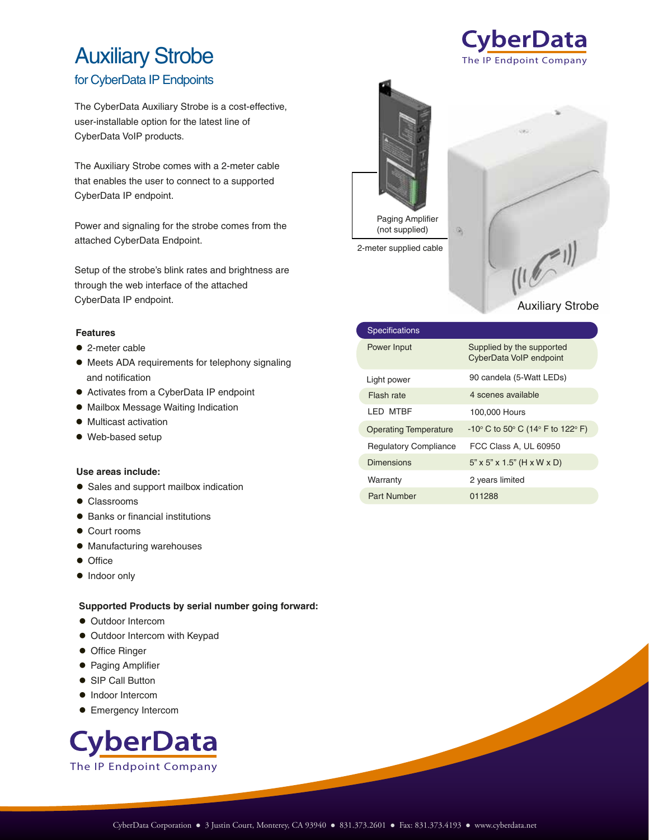# Auxiliary Strobe

### for CyberData IP Endpoints

The CyberData Auxiliary Strobe is a cost-effective, user-installable option for the latest line of CyberData VoIP products.

The Auxiliary Strobe comes with a 2-meter cable that enables the user to connect to a supported CyberData IP endpoint.

Power and signaling for the strobe comes from the attached CyberData Endpoint.

Setup of the strobe's blink rates and brightness are through the web interface of the attached CyberData IP endpoint.

#### **Features**

- 2-meter cable
- Meets ADA requirements for telephony signaling and notification
- Activates from a CyberData IP endpoint
- Mailbox Message Waiting Indication
- $\bullet$  Multicast activation
- Web-based setup

#### **Use areas include:**

- Sales and support mailbox indication
- Classrooms
- Banks or financial institutions
- Court rooms
- $\bullet$  Manufacturing warehouses
- **•** Office
- Indoor only

#### **Supported Products by serial number going forward:**

- **Outdoor Intercom**
- $\bullet$  Outdoor Intercom with Keypad
- **Office Ringer**
- Paging Amplifier
- SIP Call Button
- $\bullet$  Indoor Intercom
- **Emergency Intercom**





2-meter supplied cable



The IP Endpoint Company

**CyberData** 

| <b>Specifications</b>        |                                                                          |
|------------------------------|--------------------------------------------------------------------------|
| Power Input                  | Supplied by the supported<br>CyberData VoIP endpoint                     |
| Light power                  | 90 candela (5-Watt LEDs)                                                 |
| Flash rate                   | 4 scenes available                                                       |
| I FD MTRF                    | 100,000 Hours                                                            |
| <b>Operating Temperature</b> | $-10^{\circ}$ C to 50 $^{\circ}$ C (14 $^{\circ}$ F to 122 $^{\circ}$ F) |
| <b>Regulatory Compliance</b> | FCC Class A, UL 60950                                                    |
| <b>Dimensions</b>            | $5" \times 5" \times 1.5"$ (H x W x D)                                   |
| Warranty                     | 2 years limited                                                          |
| <b>Part Number</b>           | 011288                                                                   |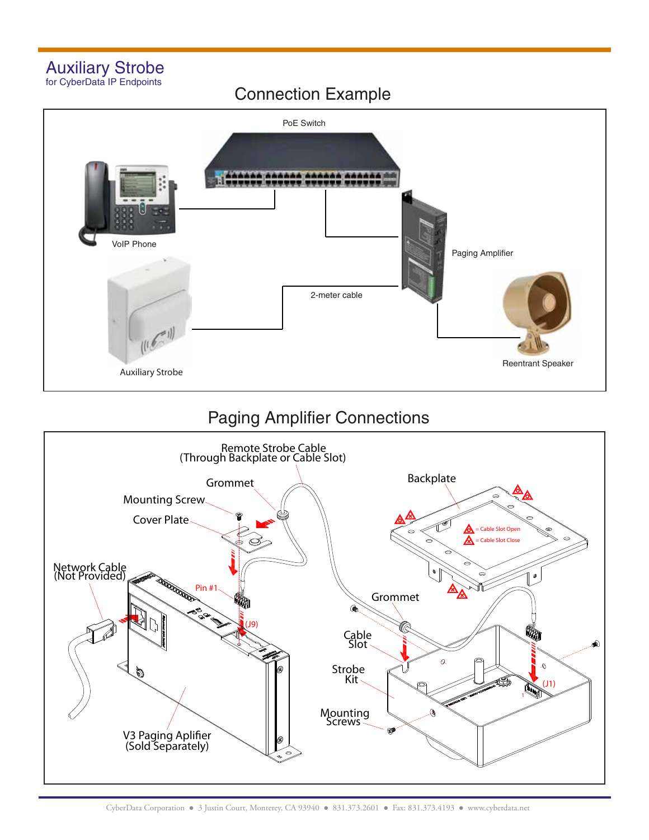### Auxiliary Strobe for CyberData IP Endpoints

### Connection Example



## Paging Amplifier Connections